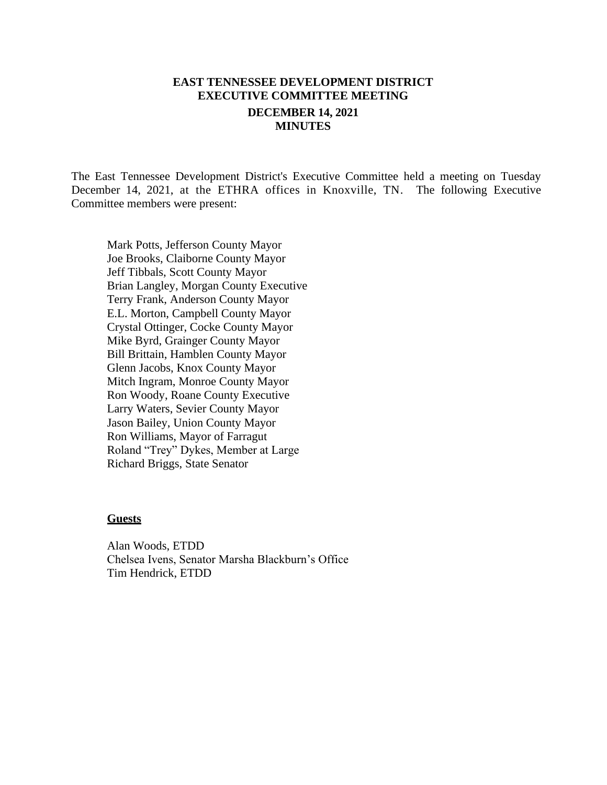# **EAST TENNESSEE DEVELOPMENT DISTRICT EXECUTIVE COMMITTEE MEETING DECEMBER 14, 2021 MINUTES**

The East Tennessee Development District's Executive Committee held a meeting on Tuesday December 14, 2021, at the ETHRA offices in Knoxville, TN. The following Executive Committee members were present:

Mark Potts, Jefferson County Mayor Joe Brooks, Claiborne County Mayor Jeff Tibbals, Scott County Mayor Brian Langley, Morgan County Executive Terry Frank, Anderson County Mayor E.L. Morton, Campbell County Mayor Crystal Ottinger, Cocke County Mayor Mike Byrd, Grainger County Mayor Bill Brittain, Hamblen County Mayor Glenn Jacobs, Knox County Mayor Mitch Ingram, Monroe County Mayor Ron Woody, Roane County Executive Larry Waters, Sevier County Mayor Jason Bailey, Union County Mayor Ron Williams, Mayor of Farragut Roland "Trey" Dykes, Member at Large Richard Briggs, State Senator

#### **Guests**

Alan Woods, ETDD Chelsea Ivens, Senator Marsha Blackburn's Office Tim Hendrick, ETDD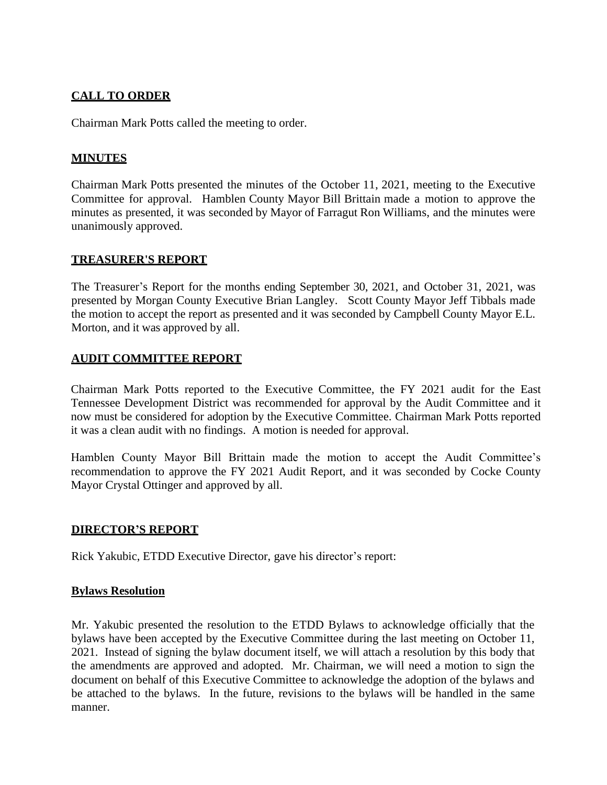# **CALL TO ORDER**

Chairman Mark Potts called the meeting to order.

## **MINUTES**

Chairman Mark Potts presented the minutes of the October 11, 2021, meeting to the Executive Committee for approval. Hamblen County Mayor Bill Brittain made a motion to approve the minutes as presented, it was seconded by Mayor of Farragut Ron Williams, and the minutes were unanimously approved.

#### **TREASURER'S REPORT**

The Treasurer's Report for the months ending September 30, 2021, and October 31, 2021, was presented by Morgan County Executive Brian Langley. Scott County Mayor Jeff Tibbals made the motion to accept the report as presented and it was seconded by Campbell County Mayor E.L. Morton, and it was approved by all.

#### **AUDIT COMMITTEE REPORT**

Chairman Mark Potts reported to the Executive Committee, the FY 2021 audit for the East Tennessee Development District was recommended for approval by the Audit Committee and it now must be considered for adoption by the Executive Committee. Chairman Mark Potts reported it was a clean audit with no findings. A motion is needed for approval.

Hamblen County Mayor Bill Brittain made the motion to accept the Audit Committee's recommendation to approve the FY 2021 Audit Report, and it was seconded by Cocke County Mayor Crystal Ottinger and approved by all.

#### **DIRECTOR'S REPORT**

Rick Yakubic, ETDD Executive Director, gave his director's report:

#### **Bylaws Resolution**

Mr. Yakubic presented the resolution to the ETDD Bylaws to acknowledge officially that the bylaws have been accepted by the Executive Committee during the last meeting on October 11, 2021. Instead of signing the bylaw document itself, we will attach a resolution by this body that the amendments are approved and adopted. Mr. Chairman, we will need a motion to sign the document on behalf of this Executive Committee to acknowledge the adoption of the bylaws and be attached to the bylaws. In the future, revisions to the bylaws will be handled in the same manner.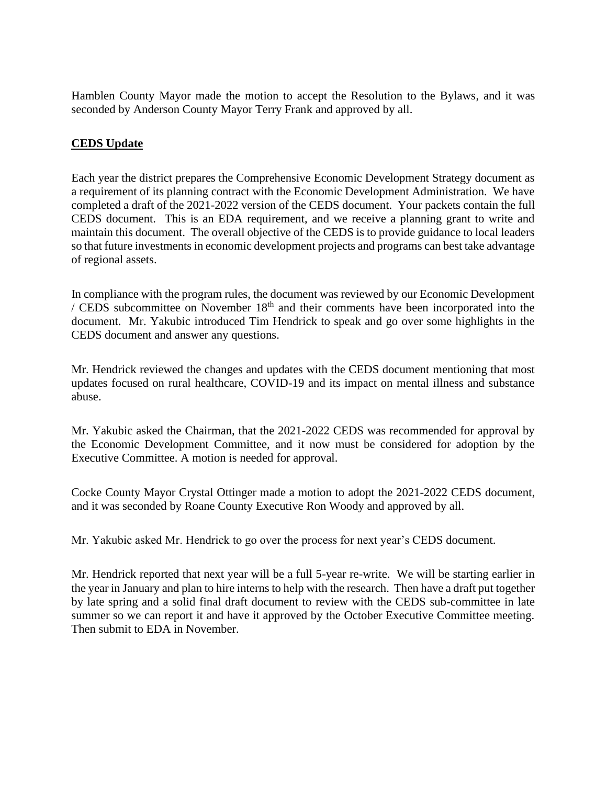Hamblen County Mayor made the motion to accept the Resolution to the Bylaws, and it was seconded by Anderson County Mayor Terry Frank and approved by all.

#### **CEDS Update**

Each year the district prepares the Comprehensive Economic Development Strategy document as a requirement of its planning contract with the Economic Development Administration. We have completed a draft of the 2021-2022 version of the CEDS document. Your packets contain the full CEDS document. This is an EDA requirement, and we receive a planning grant to write and maintain this document. The overall objective of the CEDS is to provide guidance to local leaders so that future investments in economic development projects and programs can best take advantage of regional assets.

In compliance with the program rules, the document was reviewed by our Economic Development / CEDS subcommittee on November 18th and their comments have been incorporated into the document. Mr. Yakubic introduced Tim Hendrick to speak and go over some highlights in the CEDS document and answer any questions.

Mr. Hendrick reviewed the changes and updates with the CEDS document mentioning that most updates focused on rural healthcare, COVID-19 and its impact on mental illness and substance abuse.

Mr. Yakubic asked the Chairman, that the 2021-2022 CEDS was recommended for approval by the Economic Development Committee, and it now must be considered for adoption by the Executive Committee. A motion is needed for approval.

Cocke County Mayor Crystal Ottinger made a motion to adopt the 2021-2022 CEDS document, and it was seconded by Roane County Executive Ron Woody and approved by all.

Mr. Yakubic asked Mr. Hendrick to go over the process for next year's CEDS document.

Mr. Hendrick reported that next year will be a full 5-year re-write. We will be starting earlier in the year in January and plan to hire interns to help with the research. Then have a draft put together by late spring and a solid final draft document to review with the CEDS sub-committee in late summer so we can report it and have it approved by the October Executive Committee meeting. Then submit to EDA in November.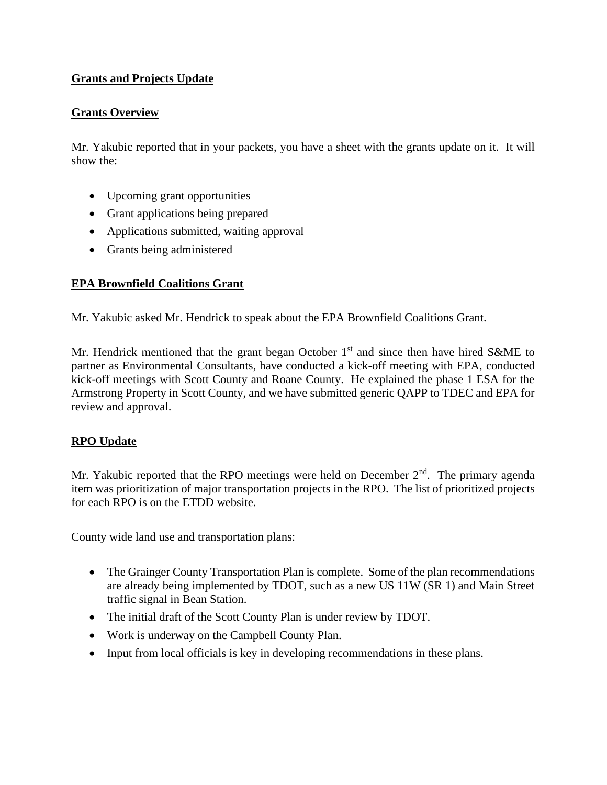# **Grants and Projects Update**

#### **Grants Overview**

Mr. Yakubic reported that in your packets, you have a sheet with the grants update on it. It will show the:

- Upcoming grant opportunities
- Grant applications being prepared
- Applications submitted, waiting approval
- Grants being administered

## **EPA Brownfield Coalitions Grant**

Mr. Yakubic asked Mr. Hendrick to speak about the EPA Brownfield Coalitions Grant.

Mr. Hendrick mentioned that the grant began October  $1<sup>st</sup>$  and since then have hired S&ME to partner as Environmental Consultants, have conducted a kick-off meeting with EPA, conducted kick-off meetings with Scott County and Roane County. He explained the phase 1 ESA for the Armstrong Property in Scott County, and we have submitted generic QAPP to TDEC and EPA for review and approval.

## **RPO Update**

Mr. Yakubic reported that the RPO meetings were held on December  $2<sup>nd</sup>$ . The primary agenda item was prioritization of major transportation projects in the RPO. The list of prioritized projects for each RPO is on the ETDD website.

County wide land use and transportation plans:

- The Grainger County Transportation Plan is complete. Some of the plan recommendations are already being implemented by TDOT, such as a new US 11W (SR 1) and Main Street traffic signal in Bean Station.
- The initial draft of the Scott County Plan is under review by TDOT.
- Work is underway on the Campbell County Plan.
- Input from local officials is key in developing recommendations in these plans.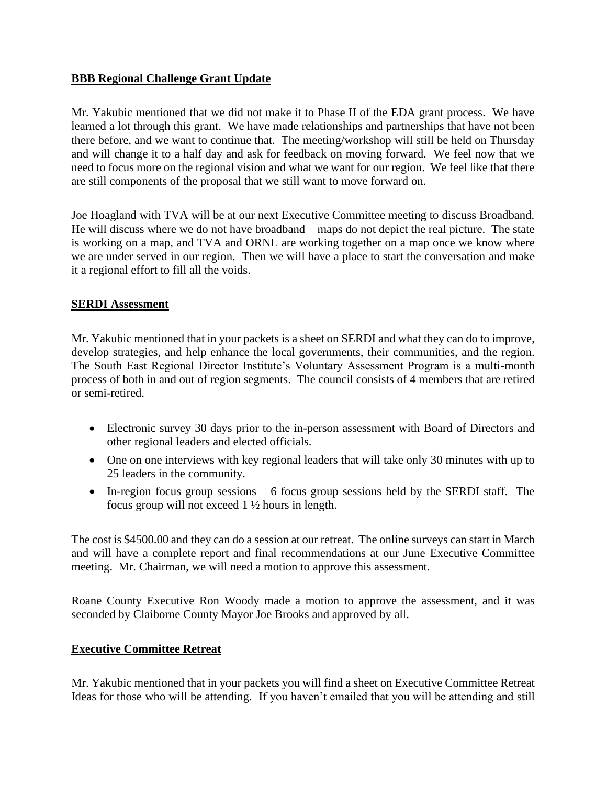#### **BBB Regional Challenge Grant Update**

Mr. Yakubic mentioned that we did not make it to Phase II of the EDA grant process. We have learned a lot through this grant. We have made relationships and partnerships that have not been there before, and we want to continue that. The meeting/workshop will still be held on Thursday and will change it to a half day and ask for feedback on moving forward. We feel now that we need to focus more on the regional vision and what we want for our region. We feel like that there are still components of the proposal that we still want to move forward on.

Joe Hoagland with TVA will be at our next Executive Committee meeting to discuss Broadband. He will discuss where we do not have broadband – maps do not depict the real picture. The state is working on a map, and TVA and ORNL are working together on a map once we know where we are under served in our region. Then we will have a place to start the conversation and make it a regional effort to fill all the voids.

#### **SERDI Assessment**

Mr. Yakubic mentioned that in your packets is a sheet on SERDI and what they can do to improve, develop strategies, and help enhance the local governments, their communities, and the region. The South East Regional Director Institute's Voluntary Assessment Program is a multi-month process of both in and out of region segments. The council consists of 4 members that are retired or semi-retired.

- Electronic survey 30 days prior to the in-person assessment with Board of Directors and other regional leaders and elected officials.
- One on one interviews with key regional leaders that will take only 30 minutes with up to 25 leaders in the community.
- In-region focus group sessions 6 focus group sessions held by the SERDI staff. The focus group will not exceed 1 ½ hours in length.

The cost is \$4500.00 and they can do a session at our retreat. The online surveys can start in March and will have a complete report and final recommendations at our June Executive Committee meeting. Mr. Chairman, we will need a motion to approve this assessment.

Roane County Executive Ron Woody made a motion to approve the assessment, and it was seconded by Claiborne County Mayor Joe Brooks and approved by all.

## **Executive Committee Retreat**

Mr. Yakubic mentioned that in your packets you will find a sheet on Executive Committee Retreat Ideas for those who will be attending. If you haven't emailed that you will be attending and still